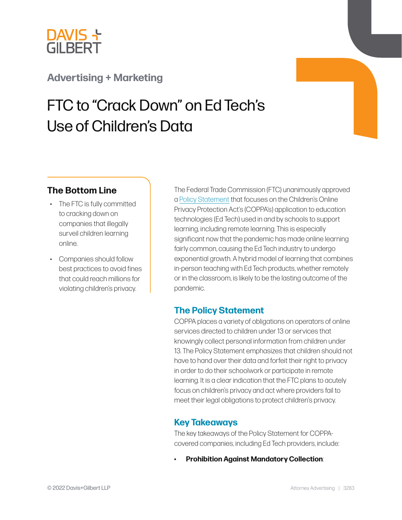

## **[Advertising + Marketing](https://www.dglaw.com/services/advertising-marketing/)**

# FTC to "Crack Down" on Ed Tech's Use of Children's Data

## **The Bottom Line**

- The FTC is fully committed to cracking down on companies that illegally surveil children learning online.
- Companies should follow best practices to avoid fines that could reach millions for violating children's privacy.

The Federal Trade Commission (FTC) unanimously approved a [Policy Statement](https://www.ftc.gov/system/files/ftc_gov/pdf/Policy%20Statement%20of%20the%20Federal%20Trade%20Commission%20on%20Education%20Technology.pdf) that focuses on the Children's Online Privacy Protection Act's (COPPA's) application to education technologies (Ed Tech) used in and by schools to support learning, including remote learning. This is especially significant now that the pandemic has made online learning fairly common, causing the Ed Tech industry to undergo exponential growth. A hybrid model of learning that combines in-person teaching with Ed Tech products, whether remotely or in the classroom, is likely to be the lasting outcome of the pandemic.

## **The Policy Statement**

COPPA places a variety of obligations on operators of online services directed to children under 13 or services that knowingly collect personal information from children under 13. The Policy Statement emphasizes that children should not have to hand over their data and forfeit their right to privacy in order to do their schoolwork or participate in remote learning. It is a clear indication that the FTC plans to acutely focus on children's privacy and act where providers fail to meet their legal obligations to protect children's privacy.

## **Key Takeaways**

The key takeaways of the Policy Statement for COPPAcovered companies, including Ed Tech providers, include:

• **Prohibition Against Mandatory Collection**: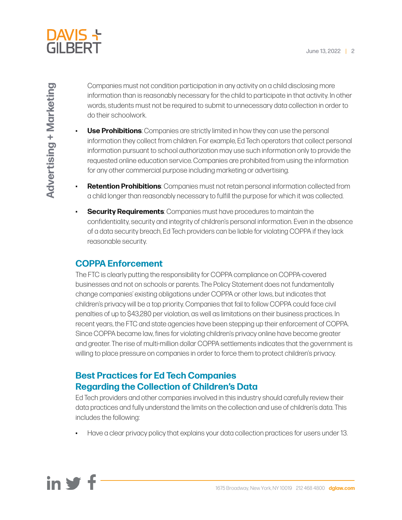

Companies must not condition participation in any activity on a child disclosing more information than is reasonably necessary for the child to participate in that activity. In other words, students must not be required to submit to unnecessary data collection in order to do their schoolwork.

- **Use Prohibitions**: Companies are strictly limited in how they can use the personal information they collect from children. For example, Ed Tech operators that collect personal information pursuant to school authorization may use such information only to provide the requested online education service. Companies are prohibited from using the information for any other commercial purpose including marketing or advertising.
- **Retention Prohibitions**: Companies must not retain personal information collected from a child longer than reasonably necessary to fulfill the purpose for which it was collected.
- **Security Requirements**: Companies must have procedures to maintain the confidentiality, security and integrity of children's personal information. Even in the absence of a data security breach, Ed Tech providers can be liable for violating COPPA if they lack reasonable security.

## **COPPA Enforcement**

The FTC is clearly putting the responsibility for COPPA compliance on COPPA-covered businesses and not on schools or parents. The Policy Statement does not fundamentally change companies' existing obligations under COPPA or other laws, but indicates that children's privacy will be a top priority. Companies that fail to follow COPPA could face civil penalties of up to \$43,280 per violation, as well as limitations on their business practices. In recent years, the FTC and state agencies have been stepping up their enforcement of COPPA. Since COPPA became law, fines for violating children's privacy online have become greater and greater. The rise of multi-million dollar COPPA settlements indicates that the government is willing to place pressure on companies in order to force them to protect children's privacy.

## **Best Practices for Ed Tech Companies Regarding the Collection of Children's Data**

Ed Tech providers and other companies involved in this industry should carefully review their data practices and fully understand the limits on the collection and use of children's data. This includes the following:

• Have a clear privacy policy that explains your data collection practices for users under 13.